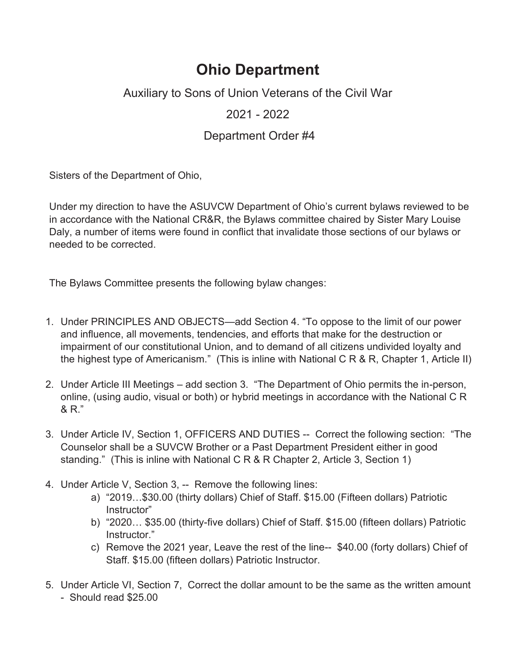## **Ohio Department**

Auxiliary to Sons of Union Veterans of the Civil War

2021 - 2022

## Department Order #4

Sisters of the Department of Ohio,

Under my direction to have the ASUVCW Department of Ohio's current bylaws reviewed to be in accordance with the National CR&R, the Bylaws committee chaired by Sister Mary Louise Daly, a number of items were found in conflict that invalidate those sections of our bylaws or needed to be corrected.

The Bylaws Committee presents the following bylaw changes:

- 1. Under PRINCIPLES AND OBJECTS—add Section 4. "To oppose to the limit of our power and influence, all movements, tendencies, and efforts that make for the destruction or impairment of our constitutional Union, and to demand of all citizens undivided loyalty and the highest type of Americanism." (This is inline with National C R & R, Chapter 1, Article II)
- 2. Under Article III Meetings add section 3. "The Department of Ohio permits the in-person, online, (using audio, visual or both) or hybrid meetings in accordance with the National C R & R."
- 3. Under Article IV, Section 1, OFFICERS AND DUTIES -- Correct the following section: "The Counselor shall be a SUVCW Brother or a Past Department President either in good standing." (This is inline with National C R & R Chapter 2, Article 3, Section 1)
- 4. Under Article V, Section 3, -- Remove the following lines:
	- a) "2019…\$30.00 (thirty dollars) Chief of Staff. \$15.00 (Fifteen dollars) Patriotic Instructor"
	- b) "2020… \$35.00 (thirty-five dollars) Chief of Staff. \$15.00 (fifteen dollars) Patriotic Instructor."
	- c) Remove the 2021 year, Leave the rest of the line-- \$40.00 (forty dollars) Chief of Staff. \$15.00 (fifteen dollars) Patriotic Instructor.
- 5. Under Article VI, Section 7, Correct the dollar amount to be the same as the written amount - Should read \$25.00